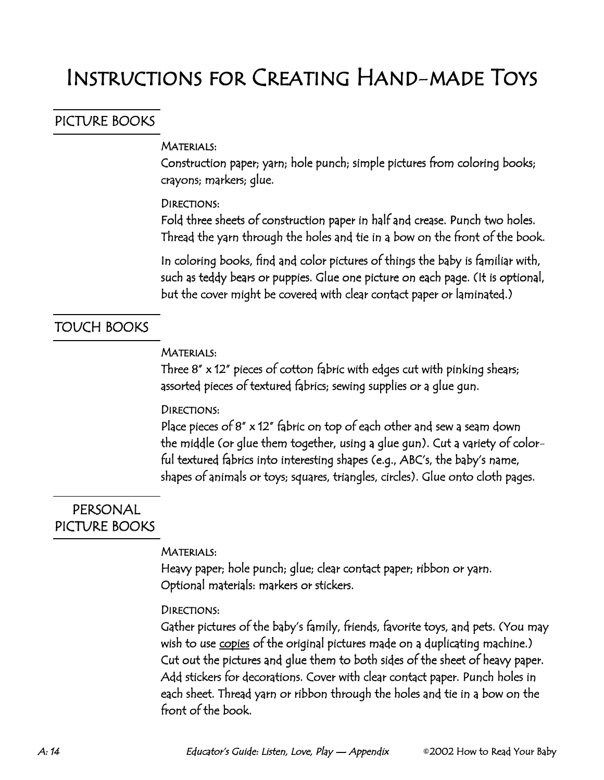## PICTURE BOOKS

## Materials:

Construction paper; yarn; hole punch; simple pictures from coloring books; crayons; markers; glue.

## Directions:

Fold three sheets of construction paper in half and crease. Punch two holes. Thread the yarn through the holes and tie in a bow on the front of the book.

In coloring books, find and color pictures of things the baby is familiar with, such as teddy bears or puppies. Glue one picture on each page. (It is optional, but the cover might be covered with clear contact paper or laminated.)

## TOUCH BOOKS

### Materials:

Three 8" x 12" pieces of cotton fabric with edges cut with pinking shears; assorted pieces of textured fabrics; sewing supplies or a glue gun.

### Directions:

Place pieces of 8" x 12" fabric on top of each other and sew a seam down the middle (or glue them together, using a glue gun). Cut a variety of colorful textured fabrics into interesting shapes (e.g., ABC's, the baby's name, shapes of animals or toys; squares, triangles, circles). Glue onto cloth pages.

# PERSONAL PICTURE BOOKS

### Materials:

Heavy paper; hole punch; glue; clear contact paper; ribbon or yarn. Optional materials: markers or stickers.

### Directions:

Gather pictures of the baby's family, friends, favorite toys, and pets. (You may wish to use <u>copies</u> of the original pictures made on a duplicating machine.) Cut out the pictures and glue them to both sides of the sheet of heavy paper. Add stickers for decorations. Cover with clear contact paper. Punch holes in each sheet. Thread yarn or ribbon through the holes and tie in a bow on the front of the book.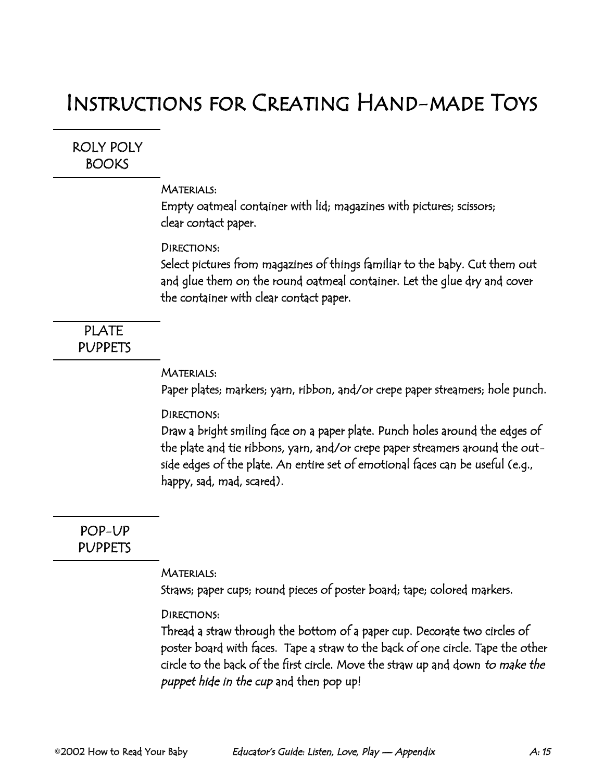ROLY POLY **BOOKS** 

### Materials:

Empty oatmeal container with lid; magazines with pictures; scissors; clear contact paper.

#### Directions:

Select pictures from magazines of things familiar to the baby. Cut them out and glue them on the round oatmeal container. Let the glue dry and cover the container with clear contact paper.

# PLATE PUPPETS

#### Materials:

Paper plates; markers; yarn, ribbon, and/or crepe paper streamers; hole punch.

#### Directions:

Draw a bright smiling face on a paper plate. Punch holes around the edges of the plate and tie ribbons, yarn, and/or crepe paper streamers around the outside edges of the plate. An entire set of emotional faces can be useful (e.g., happy, sad, mad, scared).

POP-UP PUPPETS

#### Materials:

Straws; paper cups; round pieces of poster board; tape; colored markers.

#### Directions:

Thread a straw through the bottom of a paper cup. Decorate two circles of poster board with faces. Tape a straw to the back of one circle. Tape the other circle to the back of the first circle. Move the straw up and down to make the puppet hide in the cup and then pop up!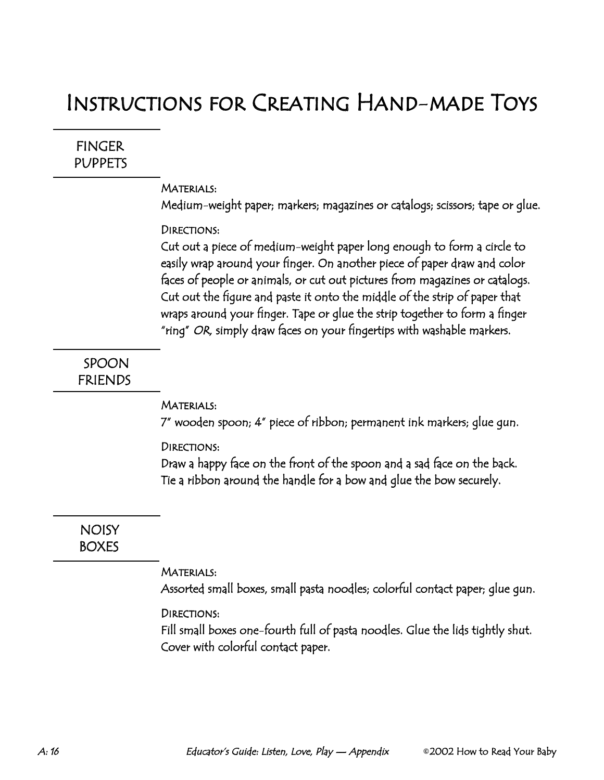FINGER **PUPPETS** 

#### Materials:

Medium-weight paper; markers; magazines or catalogs; scissors; tape or glue.

#### Directions:

Cut out a piece of medium-weight paper long enough to form a circle to easily wrap around your finger. On another piece of paper draw and color faces of people or animals, or cut out pictures from magazines or catalogs. Cut out the figure and paste it onto the middle of the strip of paper that wraps around your finger. Tape or glue the strip together to form a finger "ring" OR, simply draw faces on your fingertips with washable markers.

## SPOON FRIENDS

#### Materials:

7" wooden spoon; 4" piece of ribbon; permanent ink markers; glue gun.

#### Directions:

Draw a happy face on the front of the spoon and a sad face on the back. Tie a ribbon around the handle for a bow and glue the bow securely.

**NOISY** BOXES

#### Materials:

Assorted small boxes, small pasta noodles; colorful contact paper; glue gun.

#### Directions:

Fill small boxes one-fourth full of pasta noodles. Glue the lids tightly shut. Cover with colorful contact paper.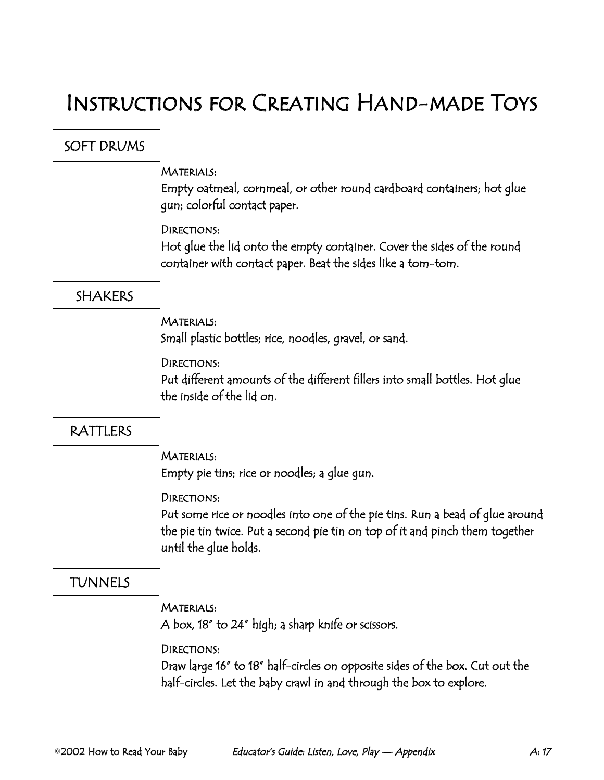# SOFT DRUMS

#### Materials:

Empty oatmeal, cornmeal, or other round cardboard containers; hot glue gun; colorful contact paper.

## Directions:

Hot glue the lid onto the empty container. Cover the sides of the round container with contact paper. Beat the sides like a tom-tom.

## **SHAKERS**

## Materials:

Small plastic bottles; rice, noodles, gravel, or sand.

### Directions:

Put different amounts of the different fillers into small bottles. Hot glue the inside of the lid on.

## RATTLERS

### Materials:

Empty pie tins; rice or noodles; a glue gun.

### Directions:

Put some rice or noodles into one of the pie tins. Run a bead of glue around the pie tin twice. Put a second pie tin on top of it and pinch them together until the glue holds.

# TUNNELS

## Materials:

A box, 18" to 24" high; a sharp knife or scissors.

## Directions:

Draw large 16" to 18" half-circles on opposite sides of the box. Cut out the half-circles. Let the baby crawl in and through the box to explore.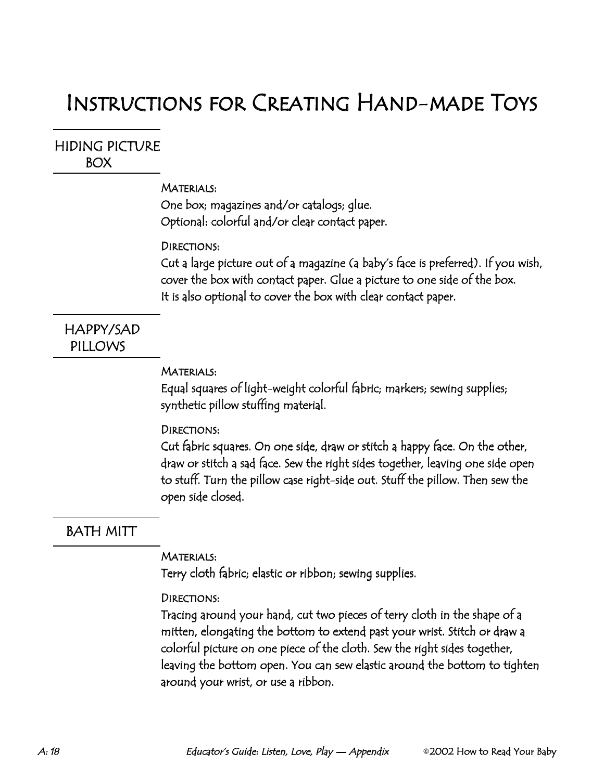## HIDING PICTURE BOX

### Materials:

One box; magazines and/or catalogs; glue. Optional: colorful and/or clear contact paper.

#### DIRECTIONS:

Cut a large picture out of a magazine (a baby's face is preferred). If you wish, cover the box with contact paper. Glue a picture to one side of the box. It is also optional to cover the box with clear contact paper.

# HAPPY/SAD PILLOWS

#### Materials:

Equal squares of light-weight colorful fabric; markers; sewing supplies; synthetic pillow stuffing material.

### Directions:

Cut fabric squares. On one side, draw or stitch a happy face. On the other, draw or stitch a sad face. Sew the right sides together, leaving one side open to stuff. Turn the pillow case right-side out. Stuff the pillow. Then sew the open side closed.

## BATH MITT

#### Materials:

Terry cloth fabric; elastic or ribbon; sewing supplies.

### Directions:

Tracing around your hand, cut two pieces of terry cloth in the shape of a mitten, elongating the bottom to extend past your wrist. Stitch or draw a colorful picture on one piece of the cloth. Sew the right sides together, leaving the bottom open. You can sew elastic around the bottom to tighten around your wrist, or use a ribbon.